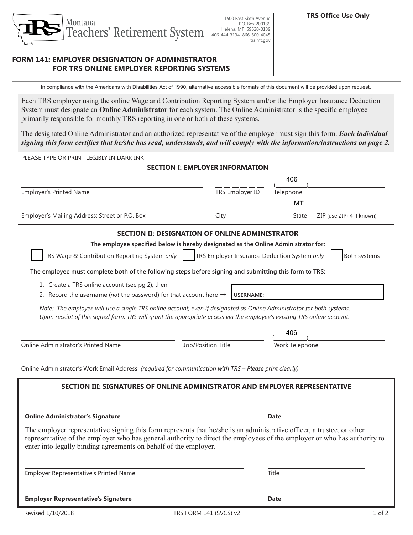

# **FORM 141: EMPLOYER DESIGNATION OF ADMINISTRATOR FOR TRS ONLINE EMPLOYER REPORTING SYSTEMS**

In compliance with the Americans with Disabilities Act of 1990, alternative accessible formats of this document will be provided upon request.

Each TRS employer using the online Wage and Contribution Reporting System and/or the Employer Insurance Deduction System must designate an **Online Administrator** for each system. The Online Administrator is the specific employee primarily responsible for monthly TRS reporting in one or both of these systems.

The designated Online Administrator and an authorized representative of the employer must sign this form. *Each individual signing this form certifies that he/she has read, understands, and will comply with the information/instructions on page 2.*

PLEASE TYPE OR PRINT LEGIBLY IN DARK INK

## **SECTION I: EMPLOYER INFORMATION**

|                                                                                                                                                                                                                                                                                                                        |                                                              | 406                               |
|------------------------------------------------------------------------------------------------------------------------------------------------------------------------------------------------------------------------------------------------------------------------------------------------------------------------|--------------------------------------------------------------|-----------------------------------|
| <b>Employer's Printed Name</b>                                                                                                                                                                                                                                                                                         | TRS Employer ID                                              | Telephone                         |
|                                                                                                                                                                                                                                                                                                                        |                                                              | MT                                |
| Employer's Mailing Address: Street or P.O. Box                                                                                                                                                                                                                                                                         | City                                                         | ZIP (use ZIP+4 if known)<br>State |
| SECTION II: DESIGNATION OF ONLINE ADMINISTRATOR                                                                                                                                                                                                                                                                        |                                                              |                                   |
| The employee specified below is hereby designated as the Online Administrator for:                                                                                                                                                                                                                                     |                                                              |                                   |
| TRS Wage & Contribution Reporting System only                                                                                                                                                                                                                                                                          | TRS Employer Insurance Deduction System only<br>Both systems |                                   |
| The employee must complete both of the following steps before signing and submitting this form to TRS:                                                                                                                                                                                                                 |                                                              |                                   |
| 1. Create a TRS online account (see pg 2); then<br>2. Record the <b>username</b> (not the password) for that account here $\rightarrow$                                                                                                                                                                                | <b>USERNAME:</b>                                             |                                   |
| Note: The employee will use a single TRS online account, even if designated as Online Administrator for both systems.<br>Upon receipt of this signed form, TRS will grant the appropriate access via the employee's existing TRS online account.                                                                       |                                                              |                                   |
|                                                                                                                                                                                                                                                                                                                        |                                                              | 406                               |
| Online Administrator's Printed Name                                                                                                                                                                                                                                                                                    | Job/Position Title                                           | Work Telephone                    |
| Online Administrator's Work Email Address (required for communication with TRS - Please print clearly)                                                                                                                                                                                                                 |                                                              |                                   |
| SECTION III: SIGNATURES OF ONLINE ADMINISTRATOR AND EMPLOYER REPRESENTATIVE                                                                                                                                                                                                                                            |                                                              |                                   |
| <b>Online Administrator's Signature</b>                                                                                                                                                                                                                                                                                |                                                              | <b>Date</b>                       |
| The employer representative signing this form represents that he/she is an administrative officer, a trustee, or other<br>representative of the employer who has general authority to direct the employees of the employer or who has authority to<br>enter into legally binding agreements on behalf of the employer. |                                                              |                                   |
| Employer Representative's Printed Name                                                                                                                                                                                                                                                                                 |                                                              | Title                             |
| <b>Employer Representative's Signature</b>                                                                                                                                                                                                                                                                             |                                                              | <b>Date</b>                       |